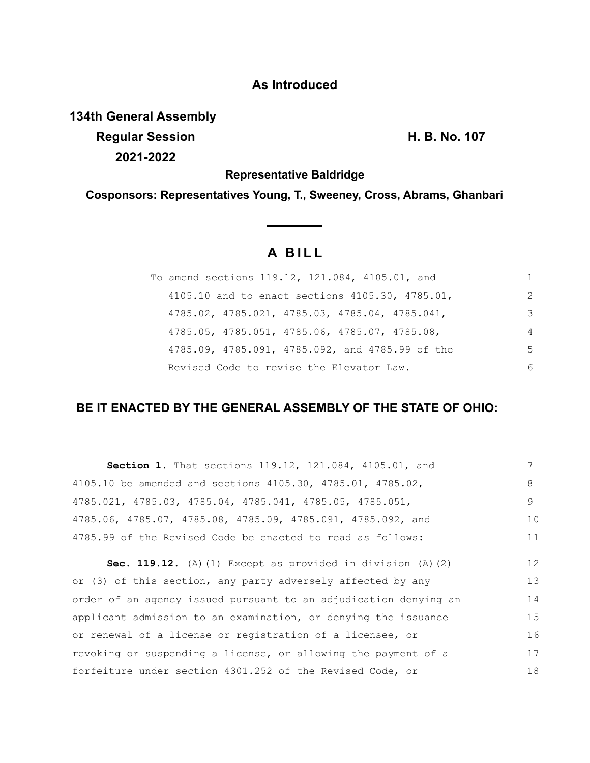## **As Introduced**

**134th General Assembly**

**Regular Session H. B. No. 107 2021-2022**

**Representative Baldridge**

**Cosponsors: Representatives Young, T., Sweeney, Cross, Abrams, Ghanbari**

# **A B I L L**

| To amend sections 119.12, 121.084, 4105.01, and               |                |
|---------------------------------------------------------------|----------------|
| 4105.10 and to enact sections 4105.30, 4785.01,               | 2              |
| $4785.02$ , $4785.021$ , $4785.03$ , $4785.04$ , $4785.041$ , | 3              |
| 4785.05, 4785.051, 4785.06, 4785.07, 4785.08,                 | $\overline{4}$ |
| 4785.09, 4785.091, 4785.092, and 4785.99 of the               | .5             |
| Revised Code to revise the Elevator Law.                      | 6              |

### **BE IT ENACTED BY THE GENERAL ASSEMBLY OF THE STATE OF OHIO:**

| Section 1. That sections 119.12, 121.084, 4105.01, and           |    |
|------------------------------------------------------------------|----|
| 4105.10 be amended and sections 4105.30, 4785.01, 4785.02,       | 8  |
| 4785.021, 4785.03, 4785.04, 4785.041, 4785.05, 4785.051,         | 9  |
| 4785.06, 4785.07, 4785.08, 4785.09, 4785.091, 4785.092, and      | 10 |
| 4785.99 of the Revised Code be enacted to read as follows:       | 11 |
| Sec. 119.12. (A) (1) Except as provided in division $(A)$ (2)    | 12 |
| or (3) of this section, any party adversely affected by any      | 13 |
| order of an agency issued pursuant to an adjudication denying an | 14 |
| applicant admission to an examination, or denying the issuance   | 15 |
| or renewal of a license or registration of a licensee, or        | 16 |
| revoking or suspending a license, or allowing the payment of a   | 17 |
| forfeiture under section 4301.252 of the Revised Code, or        | 18 |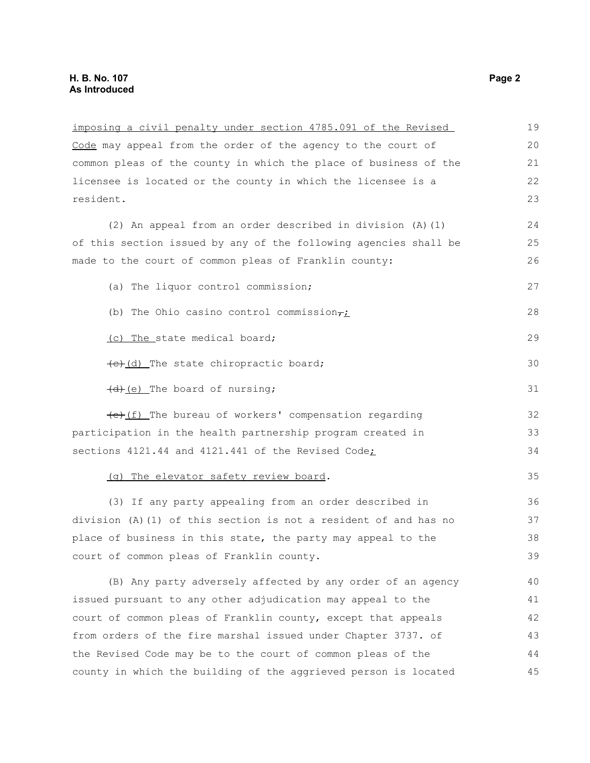| imposing a civil penalty under section 4785.091 of the Revised   | 19 |
|------------------------------------------------------------------|----|
| Code may appeal from the order of the agency to the court of     | 20 |
| common pleas of the county in which the place of business of the | 21 |
| licensee is located or the county in which the licensee is a     | 22 |
| resident.                                                        | 23 |
| (2) An appeal from an order described in division (A) (1)        | 24 |
| of this section issued by any of the following agencies shall be | 25 |
| made to the court of common pleas of Franklin county:            | 26 |
| (a) The liquor control commission;                               | 27 |
| (b) The Ohio casino control commission $\tau_L$                  | 28 |
| (c) The state medical board;                                     | 29 |
| (e)(d) The state chiropractic board;                             | 30 |
| (d) (e) The board of nursing;                                    | 31 |
| (e) (f) The bureau of workers' compensation regarding            | 32 |
| participation in the health partnership program created in       | 33 |
| sections 4121.44 and 4121.441 of the Revised Code;               | 34 |
| (g) The elevator safety review board.                            | 35 |
| (3) If any party appealing from an order described in            | 36 |
| division (A)(1) of this section is not a resident of and has no  | 37 |
| place of business in this state, the party may appeal to the     | 38 |
| court of common pleas of Franklin county.                        | 39 |
| (B) Any party adversely affected by any order of an agency       | 40 |
| issued pursuant to any other adjudication may appeal to the      | 41 |
| court of common pleas of Franklin county, except that appeals    | 42 |
| from orders of the fire marshal issued under Chapter 3737. of    | 43 |
| the Revised Code may be to the court of common pleas of the      | 44 |
| county in which the building of the aggrieved person is located  | 45 |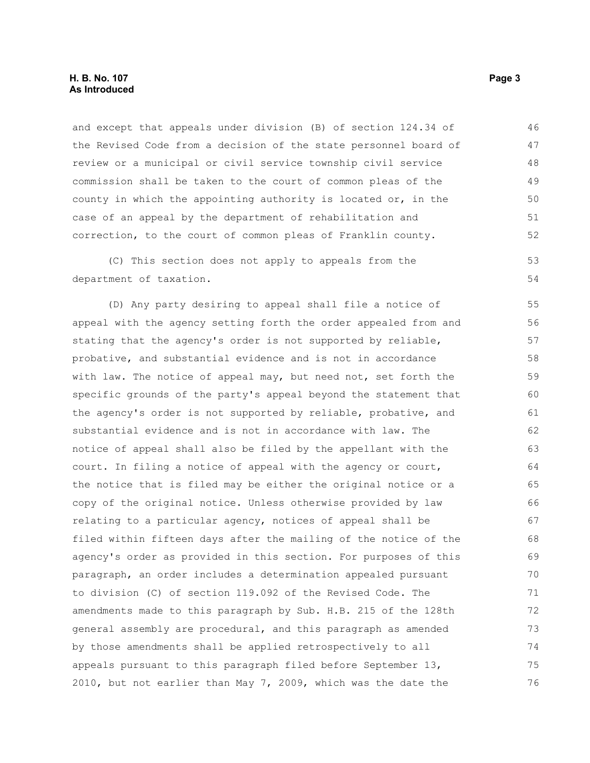and except that appeals under division (B) of section 124.34 of the Revised Code from a decision of the state personnel board of review or a municipal or civil service township civil service commission shall be taken to the court of common pleas of the county in which the appointing authority is located or, in the case of an appeal by the department of rehabilitation and correction, to the court of common pleas of Franklin county. 46 47 48 49 50 51 52

(C) This section does not apply to appeals from the department of taxation. 53 54

(D) Any party desiring to appeal shall file a notice of appeal with the agency setting forth the order appealed from and stating that the agency's order is not supported by reliable, probative, and substantial evidence and is not in accordance with law. The notice of appeal may, but need not, set forth the specific grounds of the party's appeal beyond the statement that the agency's order is not supported by reliable, probative, and substantial evidence and is not in accordance with law. The notice of appeal shall also be filed by the appellant with the court. In filing a notice of appeal with the agency or court, the notice that is filed may be either the original notice or a copy of the original notice. Unless otherwise provided by law relating to a particular agency, notices of appeal shall be filed within fifteen days after the mailing of the notice of the agency's order as provided in this section. For purposes of this paragraph, an order includes a determination appealed pursuant to division (C) of section 119.092 of the Revised Code. The amendments made to this paragraph by Sub. H.B. 215 of the 128th general assembly are procedural, and this paragraph as amended by those amendments shall be applied retrospectively to all appeals pursuant to this paragraph filed before September 13, 2010, but not earlier than May 7, 2009, which was the date the 55 56 57 58 59 60 61 62 63 64 65 66 67 68 69 70 71 72 73 74 75 76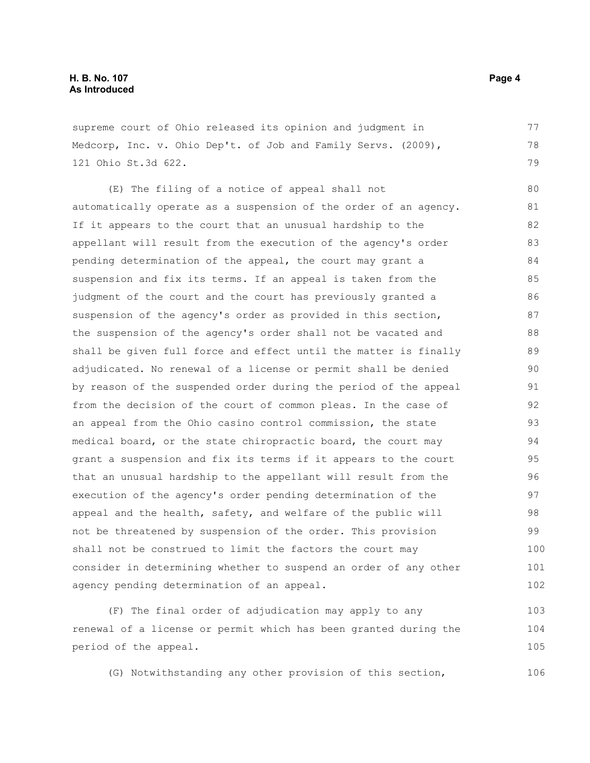supreme court of Ohio released its opinion and judgment in Medcorp, Inc. v. Ohio Dep't. of Job and Family Servs. (2009), 121 Ohio St.3d 622.

(E) The filing of a notice of appeal shall not automatically operate as a suspension of the order of an agency. If it appears to the court that an unusual hardship to the appellant will result from the execution of the agency's order pending determination of the appeal, the court may grant a suspension and fix its terms. If an appeal is taken from the judgment of the court and the court has previously granted a suspension of the agency's order as provided in this section, the suspension of the agency's order shall not be vacated and shall be given full force and effect until the matter is finally adjudicated. No renewal of a license or permit shall be denied by reason of the suspended order during the period of the appeal from the decision of the court of common pleas. In the case of an appeal from the Ohio casino control commission, the state medical board, or the state chiropractic board, the court may grant a suspension and fix its terms if it appears to the court that an unusual hardship to the appellant will result from the execution of the agency's order pending determination of the appeal and the health, safety, and welfare of the public will not be threatened by suspension of the order. This provision shall not be construed to limit the factors the court may consider in determining whether to suspend an order of any other agency pending determination of an appeal. 80 81 82 83 84 85 86 87 88 89 90 91 92 93 94 95 96 97 98 99 100 101 102

(F) The final order of adjudication may apply to any renewal of a license or permit which has been granted during the period of the appeal. 103 104 105

(G) Notwithstanding any other provision of this section,

77 78 79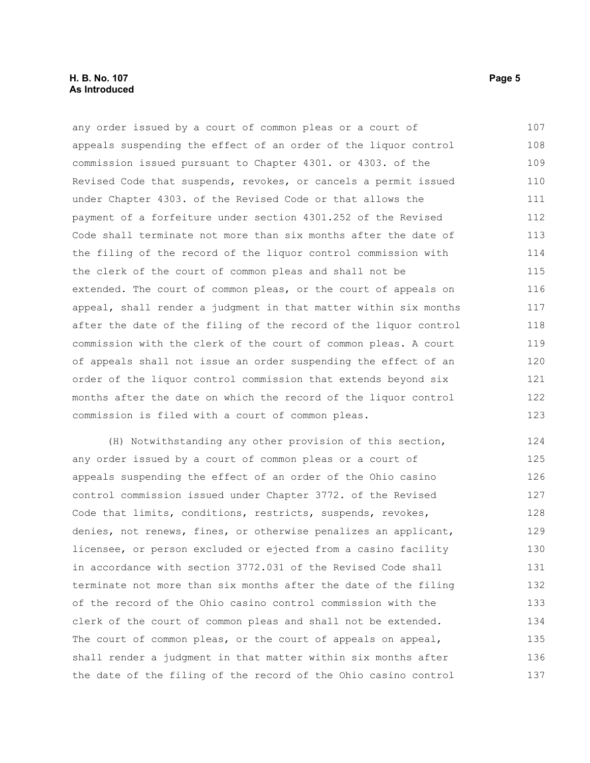#### **H. B. No. 107 Page 5 As Introduced**

any order issued by a court of common pleas or a court of appeals suspending the effect of an order of the liquor control commission issued pursuant to Chapter 4301. or 4303. of the Revised Code that suspends, revokes, or cancels a permit issued under Chapter 4303. of the Revised Code or that allows the payment of a forfeiture under section 4301.252 of the Revised Code shall terminate not more than six months after the date of the filing of the record of the liquor control commission with the clerk of the court of common pleas and shall not be extended. The court of common pleas, or the court of appeals on appeal, shall render a judgment in that matter within six months after the date of the filing of the record of the liquor control commission with the clerk of the court of common pleas. A court of appeals shall not issue an order suspending the effect of an order of the liquor control commission that extends beyond six months after the date on which the record of the liquor control commission is filed with a court of common pleas. 107 108 109 110 111 112 113 114 115 116 117 118 119 120 121 122 123

(H) Notwithstanding any other provision of this section, any order issued by a court of common pleas or a court of appeals suspending the effect of an order of the Ohio casino control commission issued under Chapter 3772. of the Revised Code that limits, conditions, restricts, suspends, revokes, denies, not renews, fines, or otherwise penalizes an applicant, licensee, or person excluded or ejected from a casino facility in accordance with section 3772.031 of the Revised Code shall terminate not more than six months after the date of the filing of the record of the Ohio casino control commission with the clerk of the court of common pleas and shall not be extended. The court of common pleas, or the court of appeals on appeal, shall render a judgment in that matter within six months after the date of the filing of the record of the Ohio casino control 124 125 126 127 128 129 130 131 132 133 134 135 136 137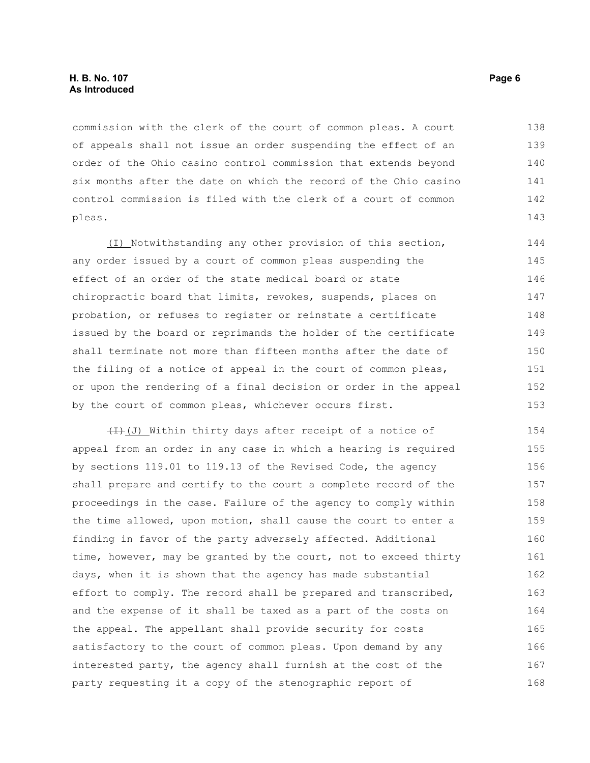commission with the clerk of the court of common pleas. A court of appeals shall not issue an order suspending the effect of an order of the Ohio casino control commission that extends beyond six months after the date on which the record of the Ohio casino control commission is filed with the clerk of a court of common pleas. 138 139 140 141 142 143

(I) Notwithstanding any other provision of this section, any order issued by a court of common pleas suspending the effect of an order of the state medical board or state chiropractic board that limits, revokes, suspends, places on probation, or refuses to register or reinstate a certificate issued by the board or reprimands the holder of the certificate shall terminate not more than fifteen months after the date of the filing of a notice of appeal in the court of common pleas, or upon the rendering of a final decision or order in the appeal by the court of common pleas, whichever occurs first. 144 145 146 147 148 149 150 151 152 153

 $(H)(J)$  Within thirty days after receipt of a notice of appeal from an order in any case in which a hearing is required by sections 119.01 to 119.13 of the Revised Code, the agency shall prepare and certify to the court a complete record of the proceedings in the case. Failure of the agency to comply within the time allowed, upon motion, shall cause the court to enter a finding in favor of the party adversely affected. Additional time, however, may be granted by the court, not to exceed thirty days, when it is shown that the agency has made substantial effort to comply. The record shall be prepared and transcribed, and the expense of it shall be taxed as a part of the costs on the appeal. The appellant shall provide security for costs satisfactory to the court of common pleas. Upon demand by any interested party, the agency shall furnish at the cost of the party requesting it a copy of the stenographic report of 154 155 156 157 158 159 160 161 162 163 164 165 166 167 168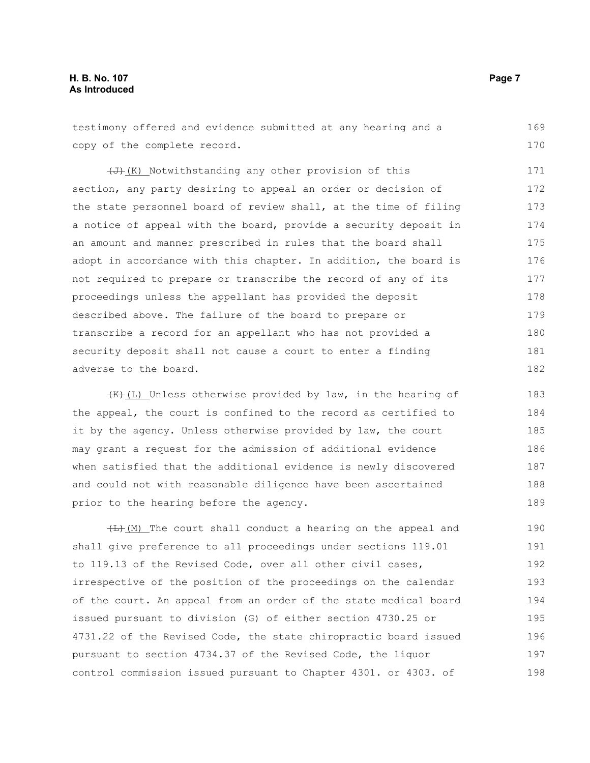#### **H. B. No. 107 Page 7 As Introduced**

testimony offered and evidence submitted at any hearing and a copy of the complete record. 169 170

 $\left(\overline{J}\right)$  (K) Notwithstanding any other provision of this section, any party desiring to appeal an order or decision of the state personnel board of review shall, at the time of filing a notice of appeal with the board, provide a security deposit in an amount and manner prescribed in rules that the board shall adopt in accordance with this chapter. In addition, the board is not required to prepare or transcribe the record of any of its proceedings unless the appellant has provided the deposit described above. The failure of the board to prepare or transcribe a record for an appellant who has not provided a security deposit shall not cause a court to enter a finding adverse to the board. 171 172 173 174 175 176 177 178 179 180 181 182

 $(H)$ (L) Unless otherwise provided by law, in the hearing of the appeal, the court is confined to the record as certified to it by the agency. Unless otherwise provided by law, the court may grant a request for the admission of additional evidence when satisfied that the additional evidence is newly discovered and could not with reasonable diligence have been ascertained prior to the hearing before the agency. 183 184 185 186 187 188 189

 $(H)$  (M) The court shall conduct a hearing on the appeal and shall give preference to all proceedings under sections 119.01 to 119.13 of the Revised Code, over all other civil cases, irrespective of the position of the proceedings on the calendar of the court. An appeal from an order of the state medical board issued pursuant to division (G) of either section 4730.25 or 4731.22 of the Revised Code, the state chiropractic board issued pursuant to section 4734.37 of the Revised Code, the liquor control commission issued pursuant to Chapter 4301. or 4303. of 190 191 192 193 194 195 196 197 198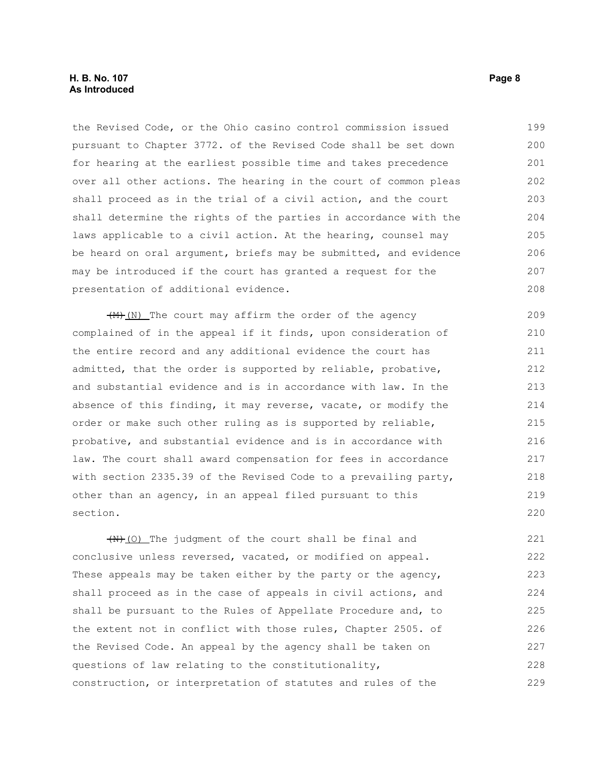#### **H. B. No. 107 Page 8 As Introduced**

the Revised Code, or the Ohio casino control commission issued pursuant to Chapter 3772. of the Revised Code shall be set down for hearing at the earliest possible time and takes precedence over all other actions. The hearing in the court of common pleas shall proceed as in the trial of a civil action, and the court shall determine the rights of the parties in accordance with the laws applicable to a civil action. At the hearing, counsel may be heard on oral argument, briefs may be submitted, and evidence may be introduced if the court has granted a request for the presentation of additional evidence. 199 200 201 202 203 204 205 206 207 208

 $\left(\frac{M}{M}\right)$  (N) The court may affirm the order of the agency complained of in the appeal if it finds, upon consideration of the entire record and any additional evidence the court has admitted, that the order is supported by reliable, probative, and substantial evidence and is in accordance with law. In the absence of this finding, it may reverse, vacate, or modify the order or make such other ruling as is supported by reliable, probative, and substantial evidence and is in accordance with law. The court shall award compensation for fees in accordance with section 2335.39 of the Revised Code to a prevailing party, other than an agency, in an appeal filed pursuant to this section. 210 216

 $(H)$  (O) The judgment of the court shall be final and conclusive unless reversed, vacated, or modified on appeal. These appeals may be taken either by the party or the agency, shall proceed as in the case of appeals in civil actions, and shall be pursuant to the Rules of Appellate Procedure and, to the extent not in conflict with those rules, Chapter 2505. of the Revised Code. An appeal by the agency shall be taken on questions of law relating to the constitutionality, construction, or interpretation of statutes and rules of the 221 222 223 224 225 226 227 228 229

209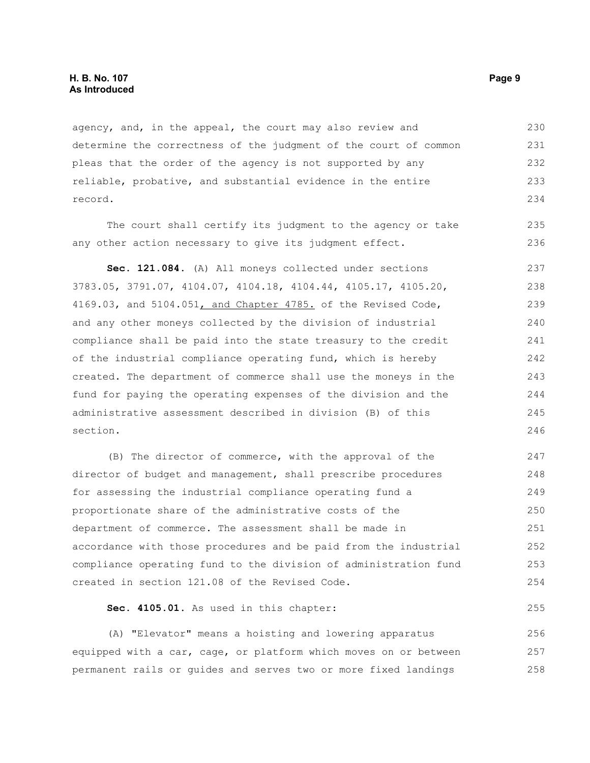agency, and, in the appeal, the court may also review and determine the correctness of the judgment of the court of common pleas that the order of the agency is not supported by any reliable, probative, and substantial evidence in the entire record. 230 231 232 233 234

The court shall certify its judgment to the agency or take any other action necessary to give its judgment effect.

**Sec. 121.084.** (A) All moneys collected under sections 3783.05, 3791.07, 4104.07, 4104.18, 4104.44, 4105.17, 4105.20, 4169.03, and 5104.051, and Chapter 4785. of the Revised Code, and any other moneys collected by the division of industrial compliance shall be paid into the state treasury to the credit of the industrial compliance operating fund, which is hereby created. The department of commerce shall use the moneys in the fund for paying the operating expenses of the division and the administrative assessment described in division (B) of this section. 237 238 239 240 241 242 243 244 245 246

(B) The director of commerce, with the approval of the director of budget and management, shall prescribe procedures for assessing the industrial compliance operating fund a proportionate share of the administrative costs of the department of commerce. The assessment shall be made in accordance with those procedures and be paid from the industrial compliance operating fund to the division of administration fund created in section 121.08 of the Revised Code. 247 248 249 250 251 252 253 254

**Sec. 4105.01.** As used in this chapter:

(A) "Elevator" means a hoisting and lowering apparatus equipped with a car, cage, or platform which moves on or between permanent rails or guides and serves two or more fixed landings 256 257 258

235 236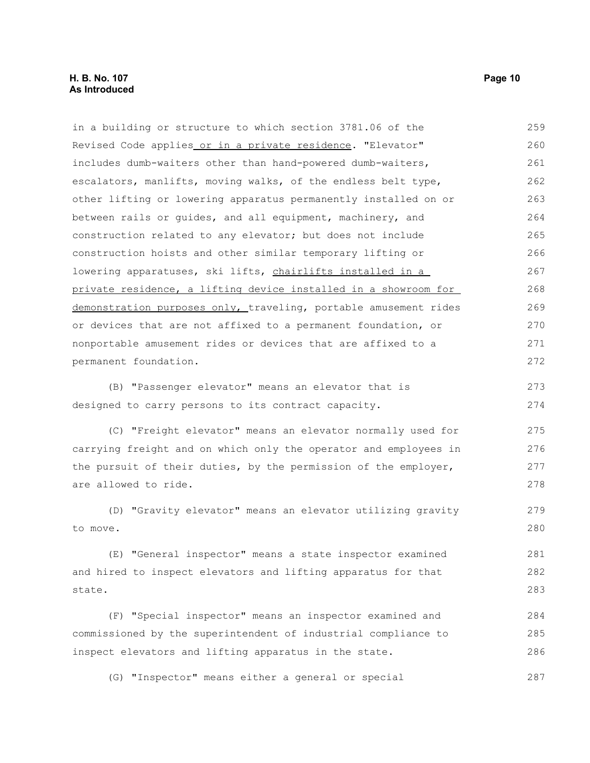#### **H. B. No. 107 Page 10 As Introduced**

in a building or structure to which section 3781.06 of the Revised Code applies or in a private residence. "Elevator" includes dumb-waiters other than hand-powered dumb-waiters, escalators, manlifts, moving walks, of the endless belt type, other lifting or lowering apparatus permanently installed on or between rails or guides, and all equipment, machinery, and construction related to any elevator; but does not include construction hoists and other similar temporary lifting or lowering apparatuses, ski lifts, chairlifts installed in a private residence, a lifting device installed in a showroom for demonstration purposes only, traveling, portable amusement rides or devices that are not affixed to a permanent foundation, or nonportable amusement rides or devices that are affixed to a permanent foundation. (B) "Passenger elevator" means an elevator that is designed to carry persons to its contract capacity. (C) "Freight elevator" means an elevator normally used for carrying freight and on which only the operator and employees in the pursuit of their duties, by the permission of the employer, are allowed to ride. (D) "Gravity elevator" means an elevator utilizing gravity to move. (E) "General inspector" means a state inspector examined and hired to inspect elevators and lifting apparatus for that state. (F) "Special inspector" means an inspector examined and commissioned by the superintendent of industrial compliance to inspect elevators and lifting apparatus in the state. 259 260 261 262 263 264 265 266 267 268 269 270 271 272 273 274 275 276 277 278 279 280 281 282 283 284 285 286

(G) "Inspector" means either a general or special 287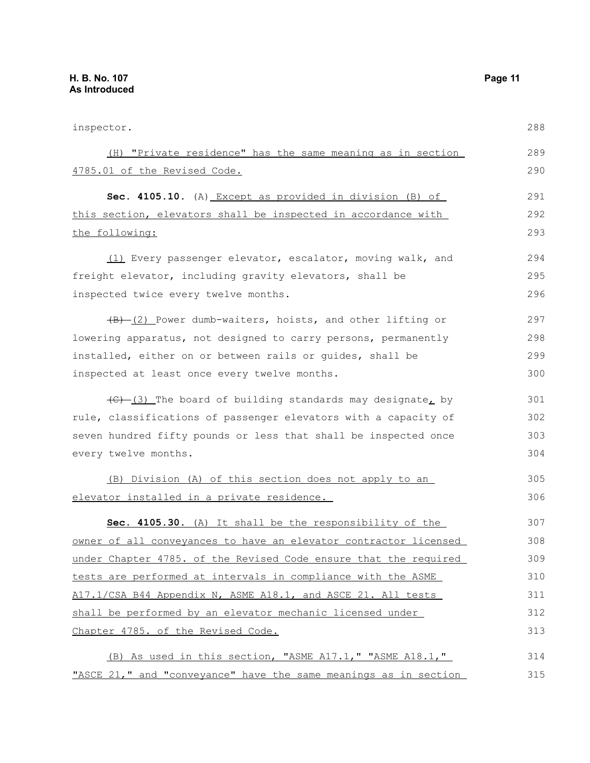| inspector.                                                                                 | 288 |
|--------------------------------------------------------------------------------------------|-----|
| (H) "Private residence" has the same meaning as in section                                 | 289 |
| 4785.01 of the Revised Code.                                                               | 290 |
| Sec. 4105.10. (A) Except as provided in division (B) of                                    | 291 |
| this section, elevators shall be inspected in accordance with                              | 292 |
| the following:                                                                             | 293 |
| (1) Every passenger elevator, escalator, moving walk, and                                  | 294 |
| freight elevator, including gravity elevators, shall be                                    | 295 |
| inspected twice every twelve months.                                                       | 296 |
| $\overline{(B) - (2)}$ Power dumb-waiters, hoists, and other lifting or                    | 297 |
| lowering apparatus, not designed to carry persons, permanently                             | 298 |
| installed, either on or between rails or guides, shall be                                  | 299 |
| inspected at least once every twelve months.                                               | 300 |
| $\left(\frac{1}{2} - \frac{1}{2}\right)$ The board of building standards may designate, by | 301 |
| rule, classifications of passenger elevators with a capacity of                            | 302 |
| seven hundred fifty pounds or less that shall be inspected once                            | 303 |
| every twelve months.                                                                       | 304 |
| (B) Division (A) of this section does not apply to an                                      | 305 |
| <u>elevator installed in a private residence.</u>                                          | 306 |
| Sec. 4105.30. (A) It shall be the responsibility of the                                    | 307 |
| <u>owner of all conveyances to have an elevator contractor licensed</u>                    | 308 |
| under Chapter 4785. of the Revised Code ensure that the required                           | 309 |
| tests are performed at intervals in compliance with the ASME                               | 310 |
| A17.1/CSA B44 Appendix N, ASME A18.1, and ASCE 21. All tests                               | 311 |
| shall be performed by an elevator mechanic licensed under                                  | 312 |
| Chapter 4785. of the Revised Code.                                                         | 313 |
| (B) As used in this section, "ASME A17.1," "ASME A18.1,"                                   | 314 |
| "ASCE 21," and "conveyance" have the same meanings as in section                           | 315 |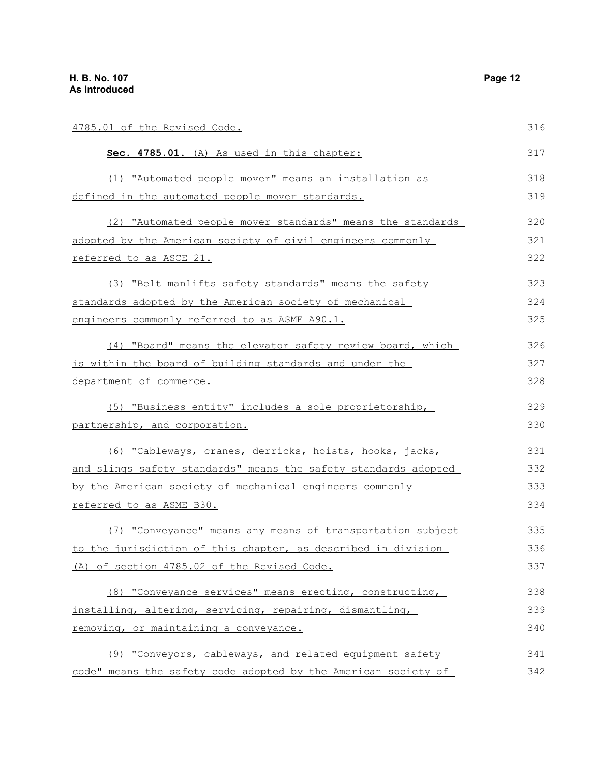| 4785.01 of the Revised Code.                                           | 316 |
|------------------------------------------------------------------------|-----|
| Sec. 4785.01. (A) As used in this chapter:                             | 317 |
| (1) "Automated people mover" means an installation as                  | 318 |
| <u>defined in the automated people mover standards.</u>                | 319 |
| (2) "Automated people mover standards" means the standards             | 320 |
| adopted by the American society of civil engineers commonly            | 321 |
| referred to as ASCE 21.                                                | 322 |
| (3) "Belt manlifts safety standards" means the safety                  | 323 |
| standards adopted by the American society of mechanical                | 324 |
| <u>engineers commonly referred to as ASME A90.1.</u>                   | 325 |
| (4) "Board" means the elevator safety review board, which              | 326 |
| is within the board of building standards and under the                | 327 |
| department of commerce.                                                | 328 |
| (5) "Business entity" includes a sole proprietorship,                  | 329 |
| partnership, and corporation.                                          | 330 |
| (6) "Cableways, cranes, derricks, hoists, hooks, jacks,                | 331 |
| <u>and slings safety standards" means the safety standards adopted</u> | 332 |
| <u>by the American society of mechanical engineers commonly </u>       | 333 |
| referred to as ASME B30.                                               | 334 |
| (7) "Conveyance" means any means of transportation subject             | 335 |
| to the jurisdiction of this chapter, as described in division          | 336 |
| (A) of section 4785.02 of the Revised Code.                            | 337 |
| (8) "Conveyance services" means erecting, constructing,                | 338 |
| installing, altering, servicing, repairing, dismantling,               | 339 |
| removing, or maintaining a conveyance.                                 | 340 |
| (9) "Conveyors, cableways, and related equipment safety                | 341 |
| code" means the safety code adopted by the American society of         | 342 |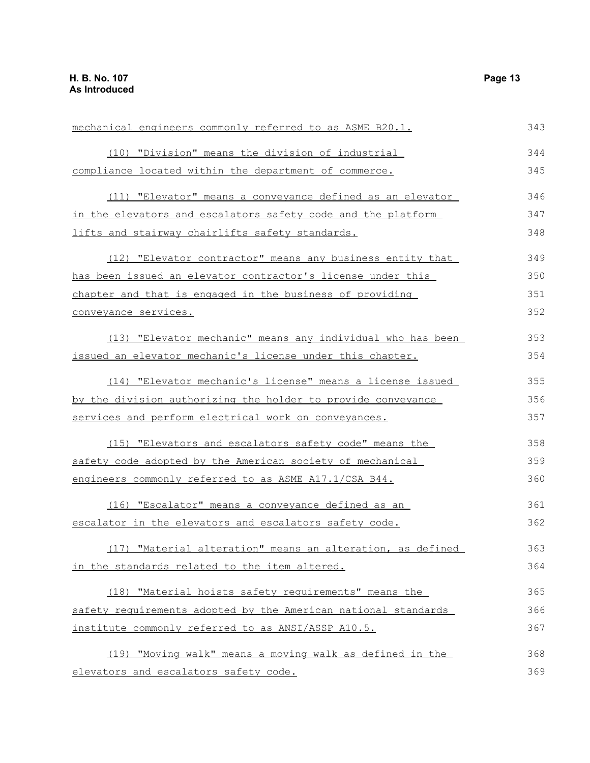| mechanical engineers commonly referred to as ASME B20.1.       | 343 |
|----------------------------------------------------------------|-----|
| (10) "Division" means the division of industrial               | 344 |
| compliance located within the department of commerce.          | 345 |
| (11) "Elevator" means a conveyance defined as an elevator      | 346 |
| in the elevators and escalators safety code and the platform   | 347 |
| lifts and stairway chairlifts safety standards.                | 348 |
| (12) "Elevator contractor" means any business entity that      | 349 |
| has been issued an elevator contractor's license under this    | 350 |
| chapter and that is engaged in the business of providing       | 351 |
| conveyance services.                                           | 352 |
| (13) "Elevator mechanic" means any individual who has been     | 353 |
| issued an elevator mechanic's license under this chapter.      | 354 |
| (14) "Elevator mechanic's license" means a license issued      | 355 |
| by the division authorizing the holder to provide conveyance   | 356 |
| services and perform electrical work on conveyances.           | 357 |
| (15) "Elevators and escalators safety code" means the          | 358 |
| safety code adopted by the American society of mechanical      | 359 |
| engineers commonly referred to as ASME A17.1/CSA B44.          | 360 |
| (16) "Escalator" means a conveyance defined as an              | 361 |
| escalator in the elevators and escalators safety code.         | 362 |
| "Material alteration" means an alteration, as defined<br>(17)  | 363 |
| in the standards related to the item altered.                  | 364 |
| (18) "Material hoists safety requirements" means the           | 365 |
| safety requirements adopted by the American national standards | 366 |
| institute commonly referred to as ANSI/ASSP A10.5.             | 367 |
| (19) "Moving walk" means a moving walk as defined in the       | 368 |
| elevators and escalators safety code.                          | 369 |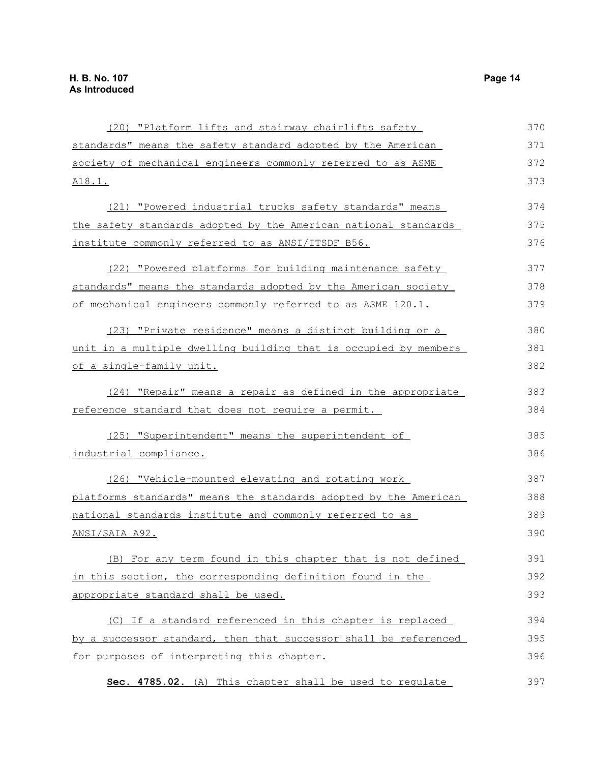| (20) "Platform lifts and stairway chairlifts safety              | 370 |
|------------------------------------------------------------------|-----|
| standards" means the safety standard adopted by the American     | 371 |
| society of mechanical engineers commonly referred to as ASME     | 372 |
| A18.1.                                                           | 373 |
| (21) "Powered industrial trucks safety standards" means          | 374 |
| the safety standards adopted by the American national standards  | 375 |
| institute commonly referred to as ANSI/ITSDF B56.                | 376 |
| (22) "Powered platforms for building maintenance safety          | 377 |
| standards" means the standards adopted by the American society   | 378 |
| of mechanical engineers commonly referred to as ASME 120.1.      | 379 |
| (23) "Private residence" means a distinct building or a          | 380 |
| unit in a multiple dwelling building that is occupied by members | 381 |
| of a single-family unit.                                         | 382 |
| (24) "Repair" means a repair as defined in the appropriate       | 383 |
| reference standard that does not require a permit.               | 384 |
| (25) "Superintendent" means the superintendent of                | 385 |
| industrial compliance.                                           | 386 |
| (26) "Vehicle-mounted elevating and rotating work                | 387 |
| platforms standards" means the standards adopted by the American | 388 |
| national standards institute and commonly referred to as         | 389 |
| ANSI/SAIA A92.                                                   | 390 |
| (B) For any term found in this chapter that is not defined       | 391 |
| in this section, the corresponding definition found in the       | 392 |
| appropriate standard shall be used.                              | 393 |
| (C) If a standard referenced in this chapter is replaced         | 394 |
| by a successor standard, then that successor shall be referenced | 395 |
| for purposes of interpreting this chapter.                       | 396 |
| Sec. 4785.02. (A) This chapter shall be used to requlate         | 397 |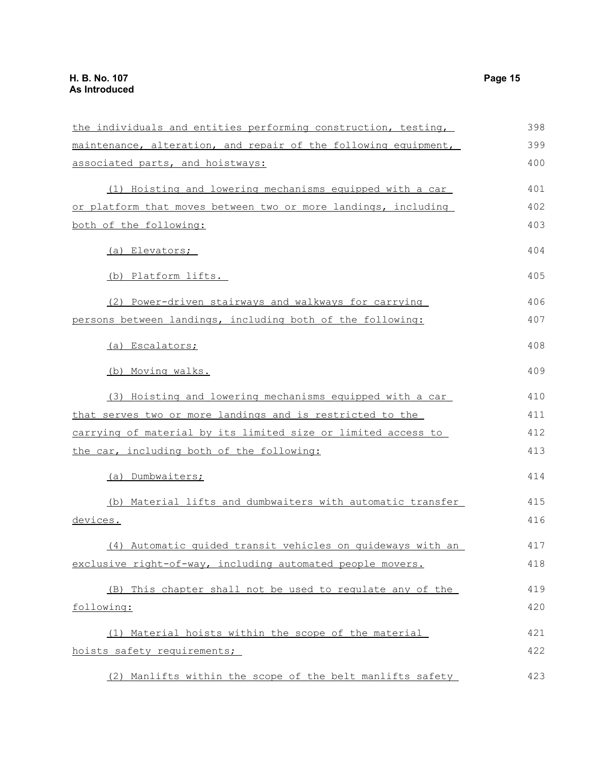| the individuals and entities performing construction, testing,  | 398 |
|-----------------------------------------------------------------|-----|
| maintenance, alteration, and repair of the following equipment, | 399 |
| associated parts, and hoistways:                                | 400 |
| (1) Hoisting and lowering mechanisms equipped with a car        | 401 |
| or platform that moves between two or more landings, including  | 402 |
| both of the following:                                          | 403 |
| (a) Elevators;                                                  | 404 |
| (b) Platform lifts.                                             | 405 |
| (2) Power-driven stairways and walkways for carrying            | 406 |
| persons between landings, including both of the following:      | 407 |
| (a) Escalators;                                                 | 408 |
| (b) Moving walks.                                               | 409 |
| (3) Hoisting and lowering mechanisms equipped with a car        | 410 |
| that serves two or more landings and is restricted to the       | 411 |
| carrying of material by its limited size or limited access to   | 412 |
| the car, including both of the following:                       | 413 |
| (a) Dumbwaiters;                                                | 414 |
| (b) Material lifts and dumbwaiters with automatic transfer      | 415 |
| devices.                                                        | 416 |
| (4) Automatic guided transit vehicles on guideways with an      | 417 |
| exclusive right-of-way, including automated people movers.      | 418 |
| (B) This chapter shall not be used to regulate any of the       | 419 |
| following:                                                      | 420 |
| (1) Material hoists within the scope of the material            | 421 |
| hoists safety requirements;                                     | 422 |
| (2) Manlifts within the scope of the belt manlifts safety       | 423 |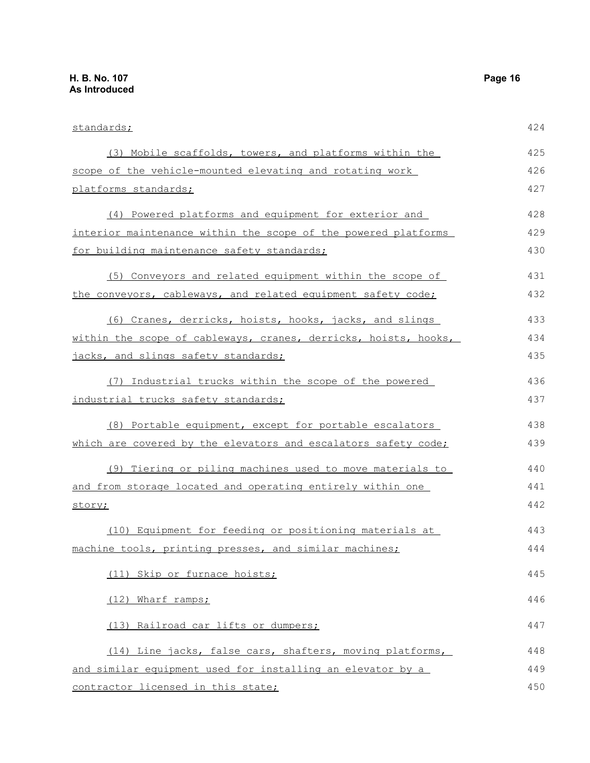| standards;                                                      | 424 |
|-----------------------------------------------------------------|-----|
| (3) Mobile scaffolds, towers, and platforms within the          | 425 |
| scope of the vehicle-mounted elevating and rotating work        | 426 |
| platforms standards;                                            | 427 |
| (4) Powered platforms and equipment for exterior and            | 428 |
| interior maintenance within the scope of the powered platforms  | 429 |
| for building maintenance safety standards;                      | 430 |
| (5) Conveyors and related equipment within the scope of         | 431 |
| the conveyors, cableways, and related equipment safety code;    | 432 |
| (6) Cranes, derricks, hoists, hooks, jacks, and slings          | 433 |
| within the scope of cableways, cranes, derricks, hoists, hooks, | 434 |
| jacks, and slings safety standards;                             | 435 |
| (7) Industrial trucks within the scope of the powered           | 436 |
| industrial trucks safety standards;                             | 437 |
| (8) Portable equipment, except for portable escalators          | 438 |
| which are covered by the elevators and escalators safety code;  | 439 |
| (9) Tiering or piling machines used to move materials to        | 440 |
| and from storage located and operating entirely within one      | 441 |
| story;                                                          | 442 |
| (10) Equipment for feeding or positioning materials at          | 443 |
| machine tools, printing presses, and similar machines;          | 444 |
| (11) Skip or furnace hoists;                                    | 445 |
| (12) Wharf ramps;                                               | 446 |
| (13) Railroad car lifts or dumpers;                             | 447 |
| (14) Line jacks, false cars, shafters, moving platforms,        | 448 |
| and similar equipment used for installing an elevator by a      | 449 |
| contractor licensed in this state;                              | 450 |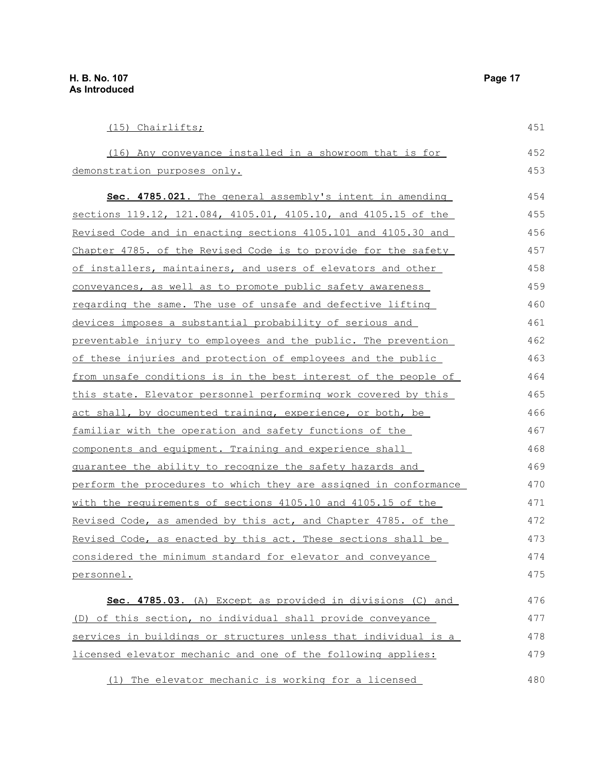479

| (15) Chairlifts;                                                 | 451 |
|------------------------------------------------------------------|-----|
| (16) Any conveyance installed in a showroom that is for          | 452 |
| demonstration purposes only.                                     | 453 |
| Sec. 4785.021. The general assembly's intent in amending         | 454 |
| sections 119.12, 121.084, 4105.01, 4105.10, and 4105.15 of the   | 455 |
| Revised Code and in enacting sections 4105.101 and 4105.30 and   | 456 |
| Chapter 4785. of the Revised Code is to provide for the safety   | 457 |
| of installers, maintainers, and users of elevators and other     | 458 |
| conveyances, as well as to promote public safety awareness       | 459 |
| regarding the same. The use of unsafe and defective lifting      | 460 |
| devices imposes a substantial probability of serious and         | 461 |
| preventable injury to employees and the public. The prevention   | 462 |
| of these injuries and protection of employees and the public     | 463 |
| from unsafe conditions is in the best interest of the people of  | 464 |
| this state. Elevator personnel performing work covered by this   | 465 |
| act shall, by documented training, experience, or both, be       | 466 |
| <u>familiar with the operation and safety functions of the </u>  | 467 |
| components and equipment. Training and experience shall          | 468 |
| guarantee the ability to recognize the safety hazards and        | 469 |
| perform the procedures to which they are assigned in conformance | 470 |
| with the requirements of sections 4105.10 and 4105.15 of the     | 471 |
| Revised Code, as amended by this act, and Chapter 4785. of the   | 472 |
| Revised Code, as enacted by this act. These sections shall be    | 473 |
| considered the minimum standard for elevator and conveyance      | 474 |
| personnel.                                                       | 475 |
| Sec. 4785.03. (A) Except as provided in divisions (C) and        | 476 |
| (D) of this section, no individual shall provide conveyance      | 477 |
| services in buildings or structures unless that individual is a  | 478 |

(1) The elevator mechanic is working for a licensed 480

licensed elevator mechanic and one of the following applies: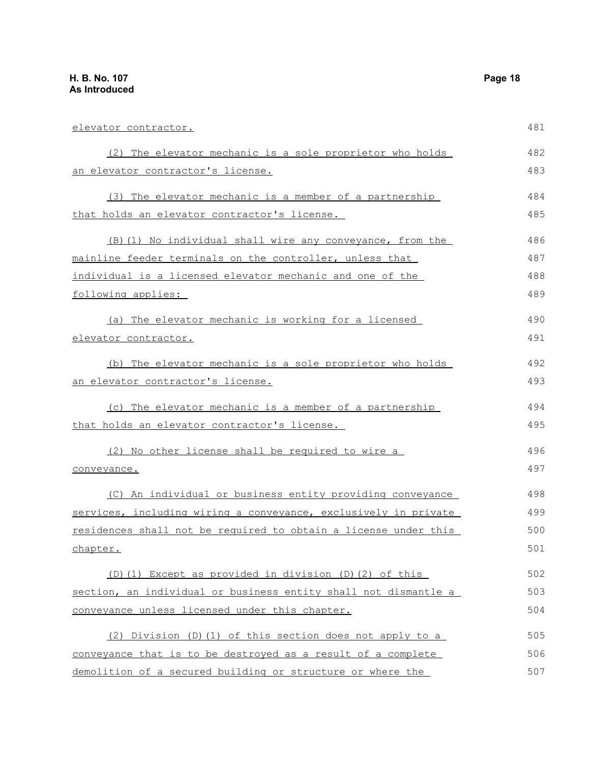| <u>elevator contractor.</u>                                     | 481 |
|-----------------------------------------------------------------|-----|
| (2) The elevator mechanic is a sole proprietor who holds        | 482 |
| <u>an elevator contractor's license.</u>                        | 483 |
| (3) The elevator mechanic is a member of a partnership          | 484 |
| <u>that holds an elevator contractor's license.</u>             | 485 |
| (B) (1) No individual shall wire any conveyance, from the       | 486 |
| mainline feeder terminals on the controller, unless that        | 487 |
| individual is a licensed elevator mechanic and one of the       | 488 |
| following applies:                                              | 489 |
| (a) The elevator mechanic is working for a licensed             | 490 |
| elevator contractor.                                            | 491 |
| (b) The elevator mechanic is a sole proprietor who holds        | 492 |
| <u>an elevator contractor's license.</u>                        | 493 |
| (c) The elevator mechanic is a member of a partnership          | 494 |
| that holds an elevator contractor's license.                    | 495 |
| (2) No other license shall be required to wire a                | 496 |
| conveyance.                                                     | 497 |
| (C) An individual or business entity providing conveyance       | 498 |
| services, including wiring a conveyance, exclusively in private | 499 |
| residences shall not be required to obtain a license under this | 500 |
| <u>chapter.</u>                                                 | 501 |
| (D) (1) Except as provided in division (D) (2) of this          | 502 |
| section, an individual or business entity shall not dismantle a | 503 |
| conveyance unless licensed under this chapter.                  | 504 |
| (2) Division (D) (1) of this section does not apply to a        | 505 |
| conveyance that is to be destroyed as a result of a complete    | 506 |
| demolition of a secured building or structure or where the      | 507 |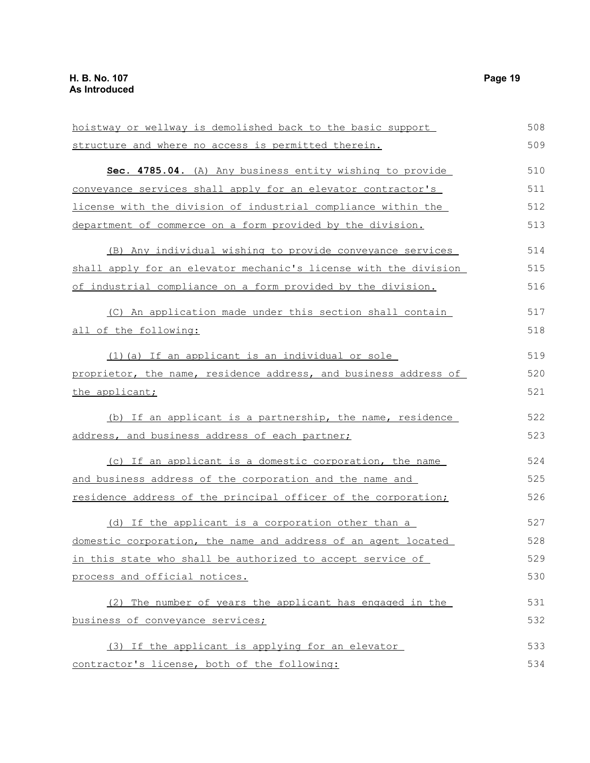| hoistway or wellway is demolished back to the basic support      | 508 |
|------------------------------------------------------------------|-----|
| structure and where no access is permitted therein.              | 509 |
| Sec. 4785.04. (A) Any business entity wishing to provide         | 510 |
| conveyance services shall apply for an elevator contractor's     | 511 |
| license with the division of industrial compliance within the    | 512 |
| department of commerce on a form provided by the division.       | 513 |
| (B) Any individual wishing to provide conveyance services        | 514 |
| shall apply for an elevator mechanic's license with the division | 515 |
| of industrial compliance on a form provided by the division.     | 516 |
| (C) An application made under this section shall contain         | 517 |
| all of the following:                                            | 518 |
| (1) (a) If an applicant is an individual or sole                 | 519 |
| proprietor, the name, residence address, and business address of | 520 |
| the applicant;                                                   | 521 |
| (b) If an applicant is a partnership, the name, residence        | 522 |
| address, and business address of each partner;                   | 523 |
| (c) If an applicant is a domestic corporation, the name          | 524 |
| and business address of the corporation and the name and         | 525 |
| residence address of the principal officer of the corporation;   | 526 |
| (d) If the applicant is a corporation other than a               | 527 |
| domestic corporation, the name and address of an agent located   | 528 |
| in this state who shall be authorized to accept service of       | 529 |
| process and official notices.                                    | 530 |
| (2) The number of years the applicant has engaged in the         | 531 |
| business of conveyance services;                                 | 532 |
| (3) If the applicant is applying for an elevator                 | 533 |
| contractor's license, both of the following:                     | 534 |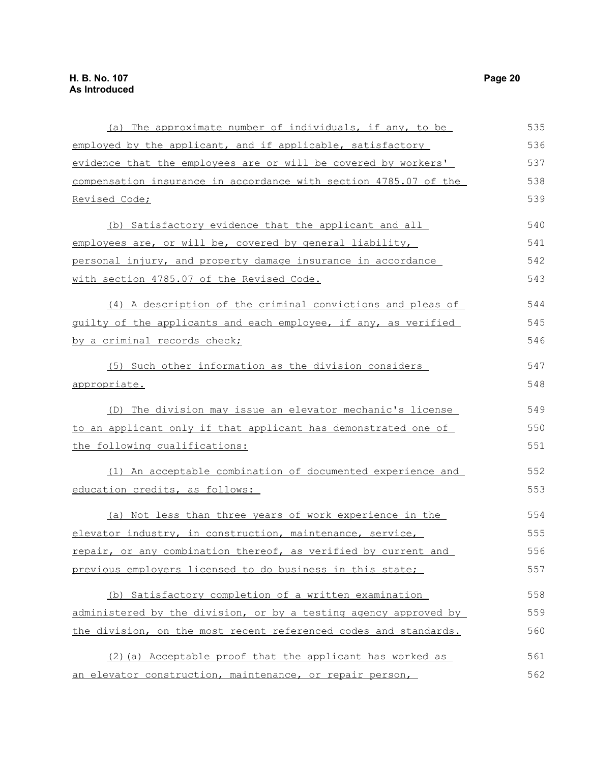| (a) The approximate number of individuals, if any, to be         | 535 |
|------------------------------------------------------------------|-----|
| employed by the applicant, and if applicable, satisfactory       | 536 |
| evidence that the employees are or will be covered by workers'   | 537 |
| compensation insurance in accordance with section 4785.07 of the | 538 |
| Revised Code;                                                    | 539 |
| (b) Satisfactory evidence that the applicant and all             | 540 |
| employees are, or will be, covered by general liability,         | 541 |
| personal injury, and property damage insurance in accordance     | 542 |
| with section 4785.07 of the Revised Code.                        | 543 |
| (4) A description of the criminal convictions and pleas of       | 544 |
| guilty of the applicants and each employee, if any, as verified  | 545 |
| by a criminal records check;                                     | 546 |
| (5) Such other information as the division considers             | 547 |
| <u>appropriate.</u>                                              | 548 |
| (D) The division may issue an elevator mechanic's license        | 549 |
| to an applicant only if that applicant has demonstrated one of   | 550 |
| the following qualifications:                                    | 551 |
| (1) An acceptable combination of documented experience and       | 552 |
| education credits, as follows:                                   | 553 |
| (a) Not less than three years of work experience in the          | 554 |
| elevator industry, in construction, maintenance, service,        | 555 |
| repair, or any combination thereof, as verified by current and   | 556 |
| previous employers licensed to do business in this state;        | 557 |
| (b) Satisfactory completion of a written examination             | 558 |
| administered by the division, or by a testing agency approved by | 559 |
| the division, on the most recent referenced codes and standards. | 560 |
| (2) (a) Acceptable proof that the applicant has worked as        | 561 |
| an elevator construction, maintenance, or repair person,         | 562 |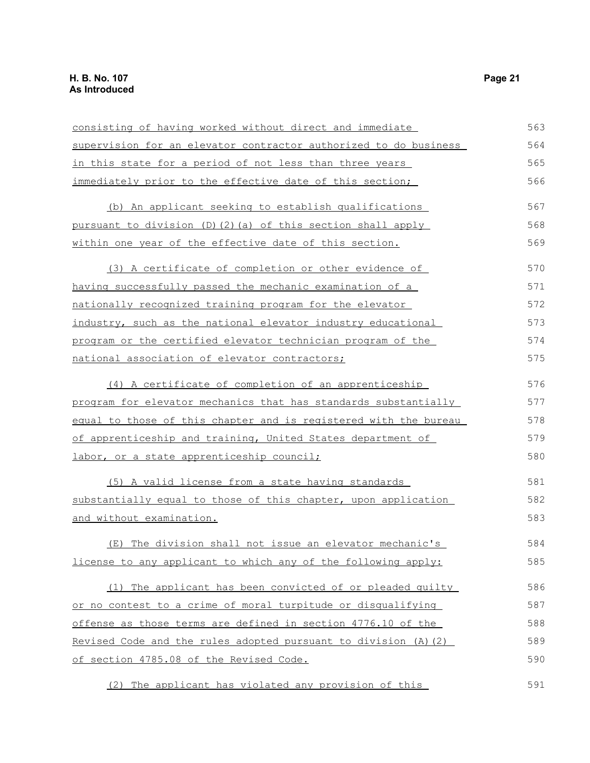| consisting of having worked without direct and immediate                | 563 |
|-------------------------------------------------------------------------|-----|
| supervision for an elevator contractor authorized to do business        | 564 |
| in this state for a period of not less than three years                 | 565 |
| immediately prior to the effective date of this section;                | 566 |
| (b) An applicant seeking to establish qualifications                    | 567 |
| pursuant to division (D)(2)(a) of this section shall apply              | 568 |
| within one year of the effective date of this section.                  | 569 |
| (3) A certificate of completion or other evidence of                    | 570 |
| having successfully passed the mechanic examination of a                | 571 |
| nationally recognized training program for the elevator                 | 572 |
| industry, such as the national elevator industry educational            | 573 |
| program or the certified elevator technician program of the             | 574 |
| national association of elevator contractors;                           | 575 |
| (4) A certificate of completion of an apprenticeship                    | 576 |
| program for elevator mechanics that has standards substantially         | 577 |
| <u>equal to those of this chapter and is reqistered with the bureau</u> | 578 |
| of apprenticeship and training, United States department of             | 579 |
| labor, or a state apprenticeship council;                               | 580 |
| (5) A valid license from a state having standards                       | 581 |
| substantially equal to those of this chapter, upon application          | 582 |
| and without examination.                                                | 583 |
| (E) The division shall not issue an elevator mechanic's                 | 584 |
| license to any applicant to which any of the following apply:           | 585 |
| (1) The applicant has been convicted of or pleaded quilty               | 586 |
| or no contest to a crime of moral turpitude or disqualifying            | 587 |
| offense as those terms are defined in section 4776.10 of the            | 588 |
| Revised Code and the rules adopted pursuant to division (A) (2)         | 589 |
| of section 4785.08 of the Revised Code.                                 | 590 |
| (2) The applicant has violated any provision of this                    | 591 |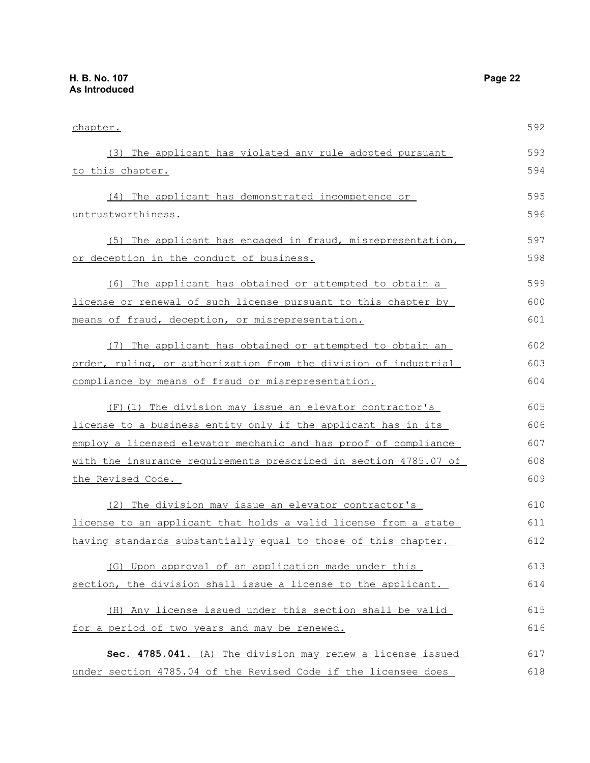| chapter.                                                         | 592 |
|------------------------------------------------------------------|-----|
| (3) The applicant has violated any rule adopted pursuant         | 593 |
| to this chapter.                                                 | 594 |
| (4) The applicant has demonstrated incompetence or               | 595 |
| untrustworthiness.                                               | 596 |
| (5) The applicant has engaged in fraud, misrepresentation,       | 597 |
| or deception in the conduct of business.                         | 598 |
| (6) The applicant has obtained or attempted to obtain a          | 599 |
| license or renewal of such license pursuant to this chapter by   | 600 |
| means of fraud, deception, or misrepresentation.                 | 601 |
| (7) The applicant has obtained or attempted to obtain an         | 602 |
| order, ruling, or authorization from the division of industrial  | 603 |
| compliance by means of fraud or misrepresentation.               | 604 |
| (F)(1) The division may issue an elevator contractor's           | 605 |
| license to a business entity only if the applicant has in its    | 606 |
| employ a licensed elevator mechanic and has proof of compliance  | 607 |
| with the insurance requirements prescribed in section 4785.07 of | 608 |
| <u>the Revised Code.</u>                                         | 609 |
| (2) The division may issue an elevator contractor's              | 610 |
| license to an applicant that holds a valid license from a state  | 611 |
| having standards substantially equal to those of this chapter.   | 612 |
| (G) Upon approval of an application made under this              | 613 |
| section, the division shall issue a license to the applicant.    | 614 |
| (H) Any license issued under this section shall be valid         | 615 |
| for a period of two years and may be renewed.                    | 616 |
| Sec. 4785.041. (A) The division may renew a license issued       | 617 |
| under section 4785.04 of the Revised Code if the licensee does   | 618 |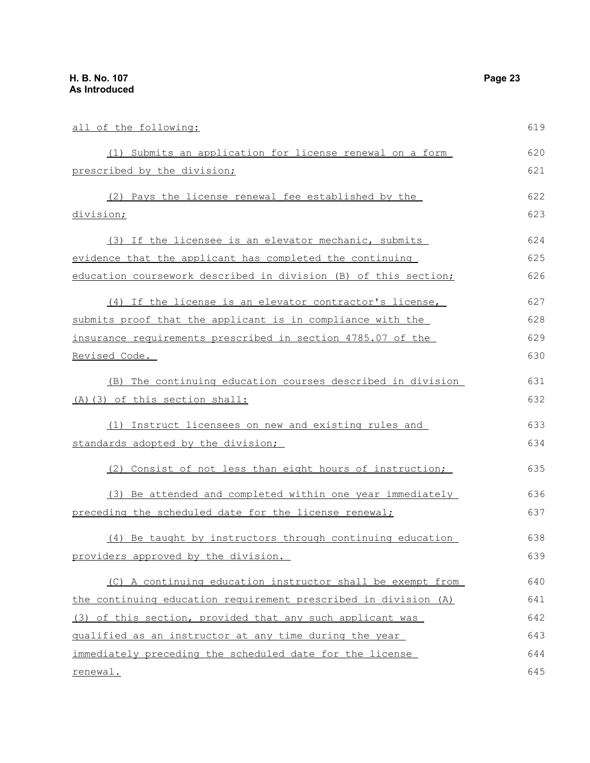| all of the following:                                           | 619 |
|-----------------------------------------------------------------|-----|
|                                                                 |     |
| (1) Submits an application for license renewal on a form        | 620 |
| prescribed by the division;                                     | 621 |
| (2) Pays the license renewal fee established by the             | 622 |
| division;                                                       | 623 |
| (3) If the licensee is an elevator mechanic, submits            | 624 |
| evidence that the applicant has completed the continuing        | 625 |
| education coursework described in division (B) of this section; | 626 |
| (4) If the license is an elevator contractor's license,         | 627 |
| submits proof that the applicant is in compliance with the      | 628 |
| insurance requirements prescribed in section 4785.07 of the     | 629 |
| Revised Code.                                                   | 630 |
| (B) The continuing education courses described in division      | 631 |
| (A) (3) of this section shall:                                  | 632 |
| (1) Instruct licensees on new and existing rules and            | 633 |
| standards adopted by the division;                              | 634 |
| (2) Consist of not less than eight hours of instruction;        | 635 |
| (3) Be attended and completed within one year immediately       | 636 |
| preceding the scheduled date for the license renewal;           | 637 |
| (4) Be taught by instructors through continuing education       | 638 |
| providers approved by the division.                             | 639 |
| (C) A continuing education instructor shall be exempt from      | 640 |
| the continuing education requirement prescribed in division (A) | 641 |
| (3) of this section, provided that any such applicant was       | 642 |

qualified as an instructor at any time during the year immediately preceding the scheduled date for the license renewal. 643 644 645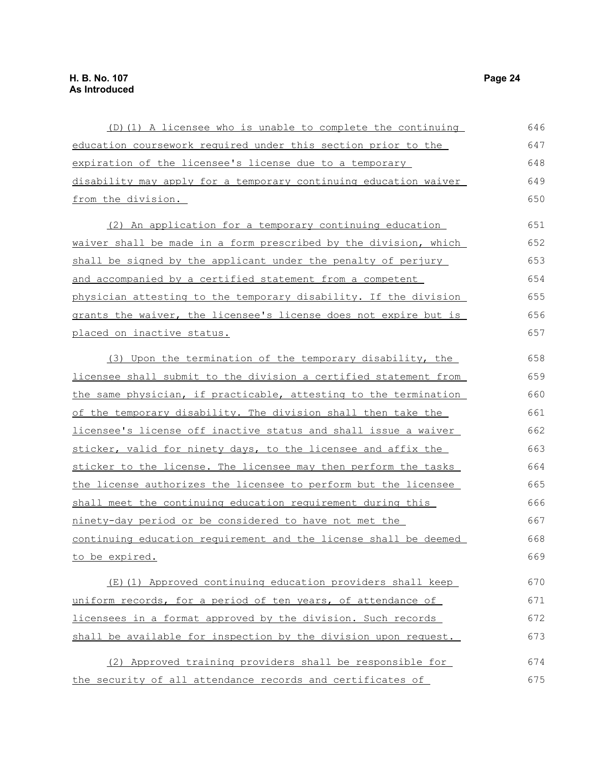| (D)(1) A licensee who is unable to complete the continuing       | 646 |
|------------------------------------------------------------------|-----|
| education coursework required under this section prior to the    | 647 |
| expiration of the licensee's license due to a temporary          | 648 |
| disability may apply for a temporary continuing education waiver | 649 |
| from the division.                                               | 650 |
| (2) An application for a temporary continuing education          | 651 |
| waiver shall be made in a form prescribed by the division, which | 652 |
| shall be signed by the applicant under the penalty of perjury    | 653 |
| and accompanied by a certified statement from a competent        | 654 |
| physician attesting to the temporary disability. If the division | 655 |
| grants the waiver, the licensee's license does not expire but is | 656 |
| placed on inactive status.                                       | 657 |
| (3) Upon the termination of the temporary disability, the        | 658 |
| licensee shall submit to the division a certified statement from | 659 |
| the same physician, if practicable, attesting to the termination | 660 |
| of the temporary disability. The division shall then take the    | 661 |
| licensee's license off inactive status and shall issue a waiver  | 662 |
| sticker, valid for ninety days, to the licensee and affix the    | 663 |
| sticker to the license. The licensee may then perform the tasks  | 664 |
| the license authorizes the licensee to perform but the licensee  | 665 |
| shall meet the continuing education requirement during this      | 666 |
| ninety-day period or be considered to have not met the           | 667 |
| continuing education requirement and the license shall be deemed | 668 |
| to be expired.                                                   | 669 |
| (E)(1) Approved continuing education providers shall keep        | 670 |
| uniform records, for a period of ten years, of attendance of     | 671 |
| licensees in a format approved by the division. Such records     | 672 |
| shall be available for inspection by the division upon request.  | 673 |
| (2) Approved training providers shall be responsible for         | 674 |
| the security of all attendance records and certificates of       | 675 |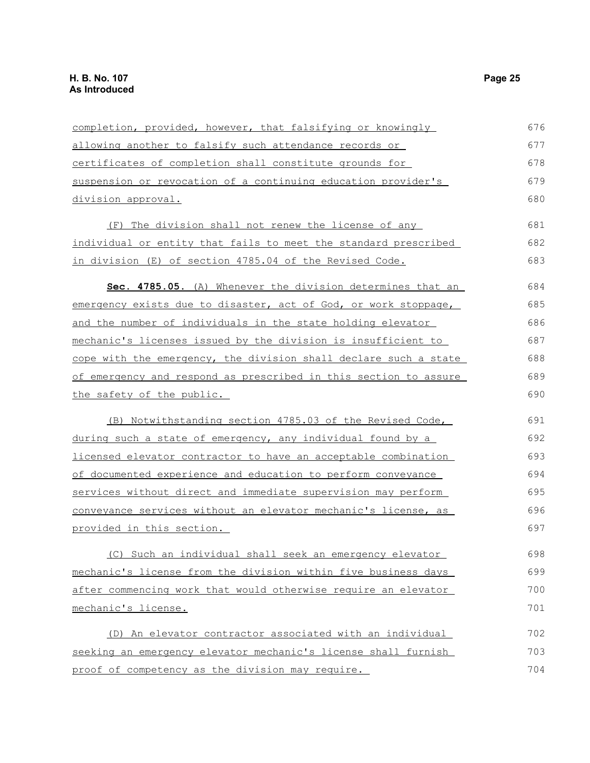| completion, provided, however, that falsifying or knowingly      | 676 |
|------------------------------------------------------------------|-----|
| allowing another to falsify such attendance records or           | 677 |
| certificates of completion shall constitute grounds for          | 678 |
| suspension or revocation of a continuing education provider's    | 679 |
| <u>division approval.</u>                                        | 680 |
| The division shall not renew the license of any<br>(F)           | 681 |
| individual or entity that fails to meet the standard prescribed  | 682 |
| in division (E) of section 4785.04 of the Revised Code.          | 683 |
| Sec. 4785.05. (A) Whenever the division determines that an       | 684 |
| emergency exists due to disaster, act of God, or work stoppage,  | 685 |
| and the number of individuals in the state holding elevator      | 686 |
| mechanic's licenses issued by the division is insufficient to    | 687 |
| cope with the emergency, the division shall declare such a state | 688 |
| of emergency and respond as prescribed in this section to assure | 689 |
| the safety of the public.                                        | 690 |
| (B) Notwithstanding section 4785.03 of the Revised Code,         | 691 |
| during such a state of emergency, any individual found by a      | 692 |
| licensed elevator contractor to have an acceptable combination   | 693 |
| of documented experience and education to perform conveyance     | 694 |
| services without direct and immediate supervision may perform    | 695 |
| conveyance services without an elevator mechanic's license, as   | 696 |
| provided in this section.                                        | 697 |
| (C) Such an individual shall seek an emergency elevator          | 698 |
| mechanic's license from the division within five business days   | 699 |
| after commencing work that would otherwise require an elevator   | 700 |
| mechanic's license.                                              | 701 |
| (D) An elevator contractor associated with an individual         | 702 |
| seeking an emergency elevator mechanic's license shall furnish   | 703 |
| proof of competency as the division may require.                 | 704 |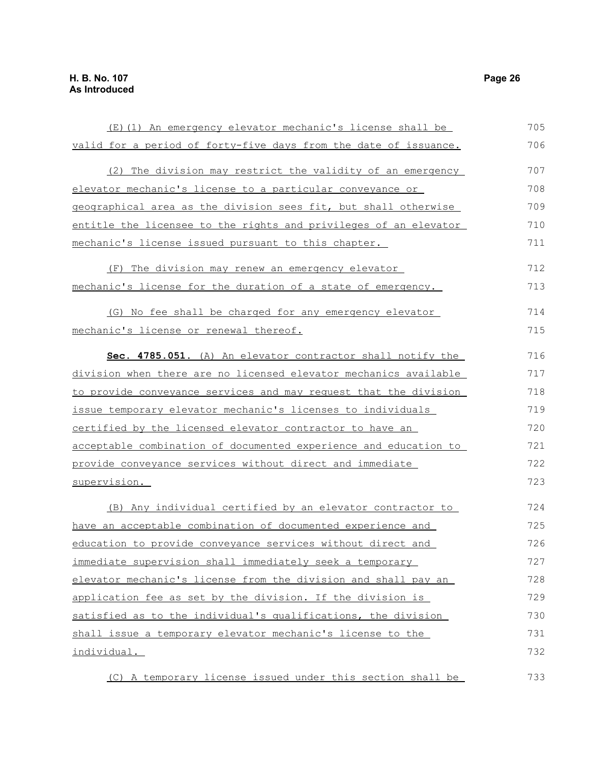| (E)(1) An emergency elevator mechanic's license shall be         | 705 |
|------------------------------------------------------------------|-----|
| valid for a period of forty-five days from the date of issuance. | 706 |
| (2) The division may restrict the validity of an emergency       | 707 |
| elevator mechanic's license to a particular conveyance or        | 708 |
| geographical area as the division sees fit, but shall otherwise  | 709 |
| entitle the licensee to the rights and privileges of an elevator | 710 |
| mechanic's license issued pursuant to this chapter.              | 711 |
| (F) The division may renew an emergency elevator                 | 712 |
| mechanic's license for the duration of a state of emergency.     | 713 |
| (G) No fee shall be charged for any emergency elevator           | 714 |
| mechanic's license or renewal thereof.                           | 715 |
| Sec. 4785.051. (A) An elevator contractor shall notify the       | 716 |
| division when there are no licensed elevator mechanics available | 717 |
| to provide conveyance services and may request that the division | 718 |
| issue temporary elevator mechanic's licenses to individuals      | 719 |
| certified by the licensed elevator contractor to have an         | 720 |
| acceptable combination of documented experience and education to | 721 |
| provide conveyance services without direct and immediate         | 722 |
| supervision.                                                     | 723 |
| (B) Any individual certified by an elevator contractor to        | 724 |
| have an acceptable combination of documented experience and      | 725 |
| education to provide conveyance services without direct and      | 726 |
| immediate supervision shall immediately seek a temporary         | 727 |
| elevator mechanic's license from the division and shall pay an   | 728 |
| application fee as set by the division. If the division is       | 729 |
| satisfied as to the individual's qualifications, the division    | 730 |
| shall issue a temporary elevator mechanic's license to the       | 731 |
| individual.                                                      | 732 |
| (C) A temporary license issued under this section shall be       | 733 |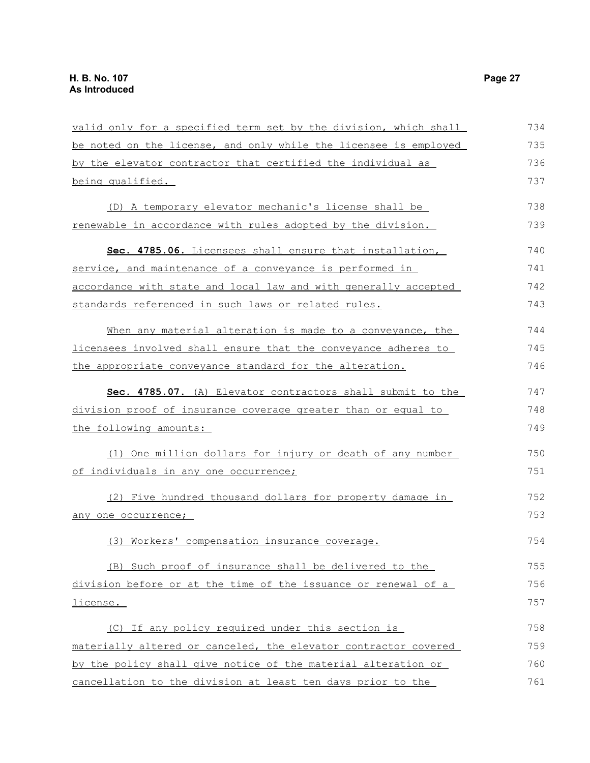| valid only for a specified term set by the division, which shall | 734 |
|------------------------------------------------------------------|-----|
| be noted on the license, and only while the licensee is employed | 735 |
| by the elevator contractor that certified the individual as      | 736 |
| being qualified.                                                 | 737 |
| (D) A temporary elevator mechanic's license shall be             | 738 |
| renewable in accordance with rules adopted by the division.      | 739 |
| Sec. 4785.06. Licensees shall ensure that installation,          | 740 |
| service, and maintenance of a conveyance is performed in         | 741 |
| accordance with state and local law and with generally accepted  | 742 |
| standards referenced in such laws or related rules.              | 743 |
| When any material alteration is made to a conveyance, the        | 744 |
| licensees involved shall ensure that the conveyance adheres to   | 745 |
| the appropriate conveyance standard for the alteration.          | 746 |
| Sec. 4785.07. (A) Elevator contractors shall submit to the       | 747 |
| division proof of insurance coverage greater than or equal to    | 748 |
| the following amounts:                                           | 749 |
| (1) One million dollars for injury or death of any number        | 750 |
| of individuals in any one occurrence;                            | 751 |
| (2) Five hundred thousand dollars for property damage in         | 752 |
| any one occurrence;                                              | 753 |
| (3) Workers' compensation insurance coverage.                    | 754 |
| (B) Such proof of insurance shall be delivered to the            | 755 |
| division before or at the time of the issuance or renewal of a   | 756 |
| license.                                                         | 757 |
| (C) If any policy required under this section is                 | 758 |
| materially altered or canceled, the elevator contractor covered  | 759 |
| by the policy shall give notice of the material alteration or    | 760 |
| cancellation to the division at least ten days prior to the      | 761 |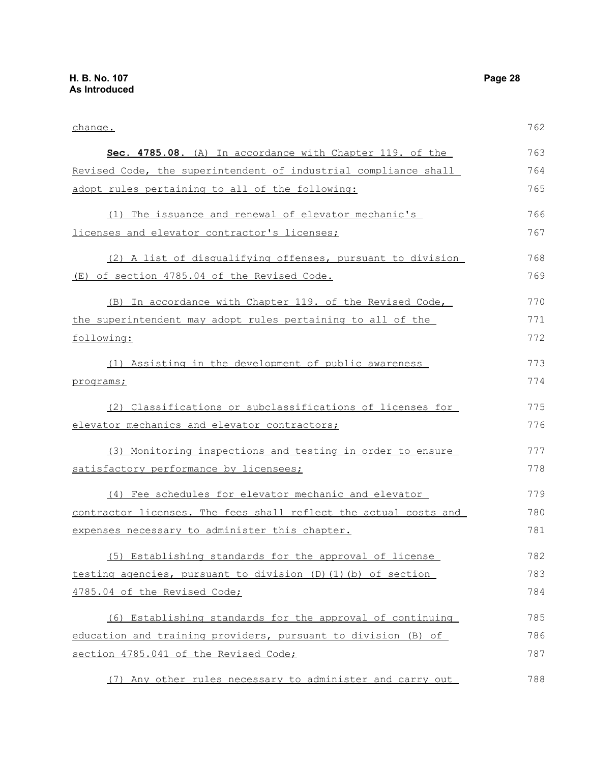| change.                                                          | 762 |
|------------------------------------------------------------------|-----|
| Sec. 4785.08. (A) In accordance with Chapter 119. of the         | 763 |
| Revised Code, the superintendent of industrial compliance shall  | 764 |
| adopt rules pertaining to all of the following:                  | 765 |
| (1) The issuance and renewal of elevator mechanic's              | 766 |
| licenses and elevator contractor's licenses;                     | 767 |
| (2) A list of disqualifying offenses, pursuant to division       | 768 |
| (E) of section 4785.04 of the Revised Code.                      | 769 |
| (B) In accordance with Chapter 119. of the Revised Code,         | 770 |
| the superintendent may adopt rules pertaining to all of the      | 771 |
| following:                                                       | 772 |
| (1) Assisting in the development of public awareness             | 773 |
| programs;                                                        | 774 |
| (2) Classifications or subclassifications of licenses for        | 775 |
| elevator mechanics and elevator contractors;                     | 776 |
| (3) Monitoring inspections and testing in order to ensure        | 777 |
| satisfactory performance by licensees;                           | 778 |
| (4) Fee schedules for elevator mechanic and elevator             | 779 |
| contractor licenses. The fees shall reflect the actual costs and | 780 |
| expenses necessary to administer this chapter.                   | 781 |
| (5) Establishing standards for the approval of license           | 782 |
| testing agencies, pursuant to division (D)(1)(b) of section      | 783 |
| 4785.04 of the Revised Code;                                     | 784 |
| (6) Establishing standards for the approval of continuing        | 785 |
| education and training providers, pursuant to division (B) of    | 786 |
| section 4785.041 of the Revised Code;                            | 787 |
| (7) Any other rules necessary to administer and carry out        | 788 |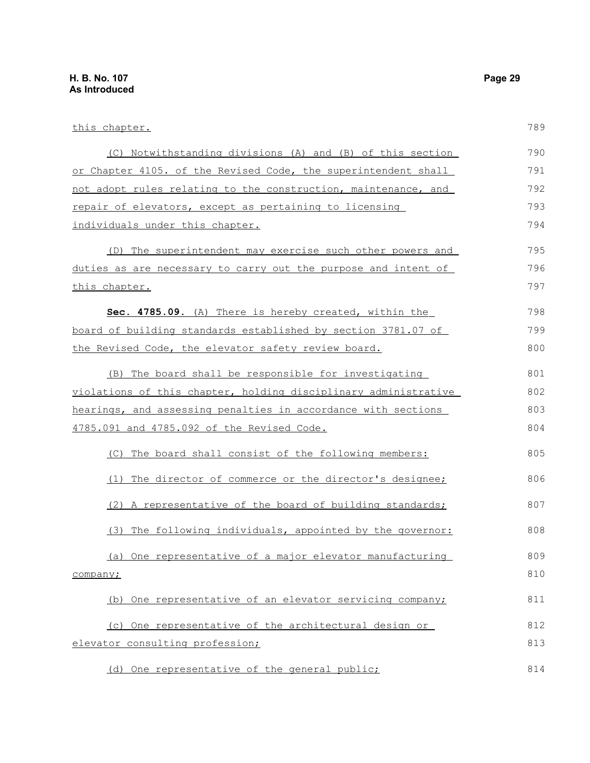| this chapter.                                                          | 789 |
|------------------------------------------------------------------------|-----|
| (C) Notwithstanding divisions (A) and (B) of this section              | 790 |
| <u>or Chapter 4105. of the Revised Code, the superintendent shall</u>  | 791 |
| not adopt rules relating to the construction, maintenance, and         | 792 |
| repair of elevators, except as pertaining to licensing                 | 793 |
| individuals under this chapter.                                        | 794 |
| (D) The superintendent may exercise such other powers and              | 795 |
| <u>duties as are necessary to carry out the purpose and intent of </u> | 796 |
| <u>this chapter.</u>                                                   | 797 |
| Sec. 4785.09. (A) There is hereby created, within the                  | 798 |
| <u>board of building standards established by section 3781.07 of </u>  | 799 |
| the Revised Code, the elevator safety review board.                    | 800 |
| (B) The board shall be responsible for investigating                   | 801 |
| violations of this chapter, holding disciplinary administrative        | 802 |
| hearings, and assessing penalties in accordance with sections          | 803 |
| 4785.091 and 4785.092 of the Revised Code.                             | 804 |
| (C) The board shall consist of the following members:                  | 805 |
| (1) The director of commerce or the director's designee;               | 806 |
| (2) A representative of the board of building standards;               | 807 |
| (3) The following individuals, appointed by the governor:              | 808 |
| (a) One representative of a major elevator manufacturing               | 809 |
| company;                                                               | 810 |
| (b) One representative of an elevator servicing company;               | 811 |
| (c) One representative of the architectural design or                  | 812 |
| elevator consulting profession;                                        | 813 |
|                                                                        |     |

(d) One representative of the general public;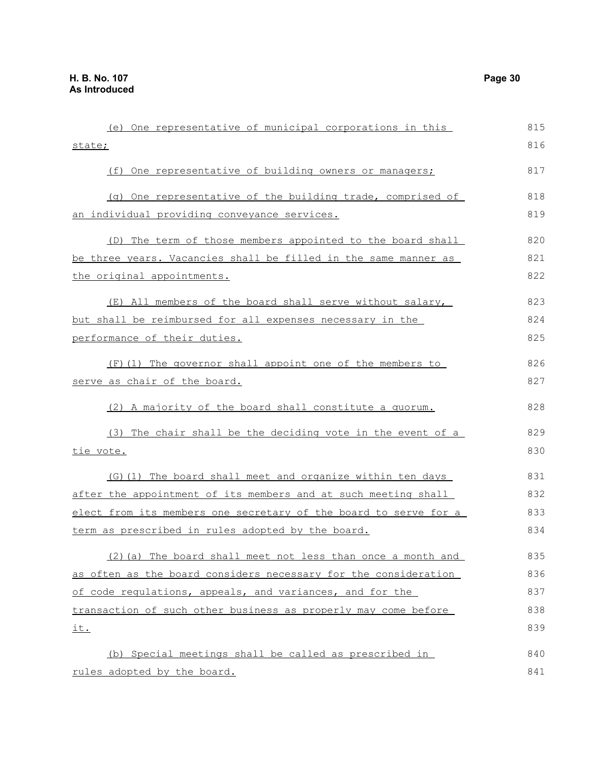| (e) One representative of municipal corporations in this        | 815 |
|-----------------------------------------------------------------|-----|
| state;                                                          | 816 |
| (f) One representative of building owners or managers;          | 817 |
| (q) One representative of the building trade, comprised of      | 818 |
| an individual providing conveyance services.                    | 819 |
| (D) The term of those members appointed to the board shall      | 820 |
| be three years. Vacancies shall be filled in the same manner as | 821 |
| the original appointments.                                      | 822 |
| (E) All members of the board shall serve without salary,        | 823 |
| but shall be reimbursed for all expenses necessary in the       | 824 |
| performance of their duties.                                    | 825 |
| (F)(1) The governor shall appoint one of the members to         | 826 |
| serve as chair of the board.                                    | 827 |
| (2) A majority of the board shall constitute a quorum.          | 828 |

(3) The chair shall be the deciding vote in the event of a tie vote. 829 830

(G)(1) The board shall meet and organize within ten days after the appointment of its members and at such meeting shall elect from its members one secretary of the board to serve for a term as prescribed in rules adopted by the board. 831 832 833 834

(2)(a) The board shall meet not less than once a month and as often as the board considers necessary for the consideration of code regulations, appeals, and variances, and for the transaction of such other business as properly may come before it. 835 836 837 838 839

(b) Special meetings shall be called as prescribed in rules adopted by the board. 840 841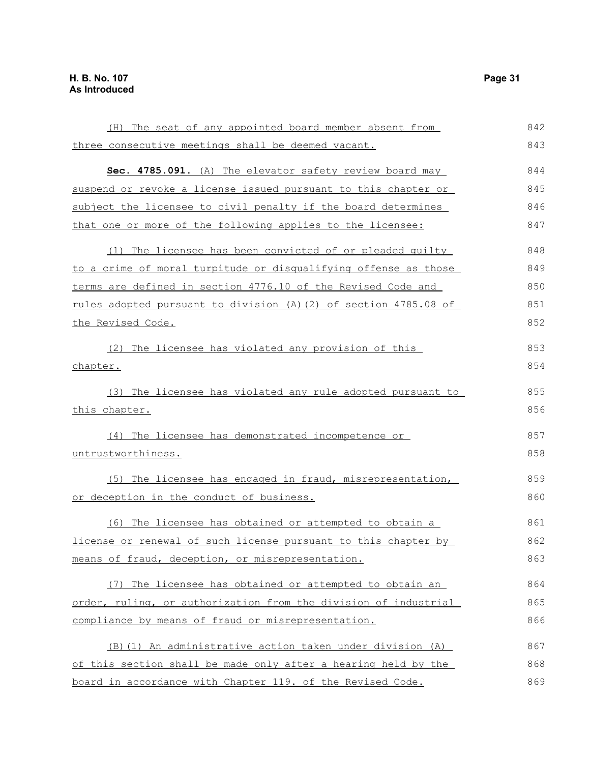| (H) The seat of any appointed board member absent from           | 842 |
|------------------------------------------------------------------|-----|
| three consecutive meetings shall be deemed vacant.               | 843 |
| Sec. 4785.091. (A) The elevator safety review board may          | 844 |
| suspend or revoke a license issued pursuant to this chapter or   | 845 |
| subject the licensee to civil penalty if the board determines    | 846 |
| that one or more of the following applies to the licensee:       | 847 |
| (1) The licensee has been convicted of or pleaded quilty         | 848 |
| to a crime of moral turpitude or disqualifying offense as those  | 849 |
| terms are defined in section 4776.10 of the Revised Code and     | 850 |
| rules adopted pursuant to division (A) (2) of section 4785.08 of | 851 |
| the Revised Code.                                                | 852 |
| (2) The licensee has violated any provision of this              | 853 |
| chapter.                                                         | 854 |
| (3) The licensee has violated any rule adopted pursuant to       | 855 |
| this chapter.                                                    | 856 |
| (4) The licensee has demonstrated incompetence or                | 857 |
| untrustworthiness.                                               | 858 |
| (5) The licensee has engaged in fraud, misrepresentation,        | 859 |
| or deception in the conduct of business.                         | 860 |
| (6) The licensee has obtained or attempted to obtain a           | 861 |
| license or renewal of such license pursuant to this chapter by   | 862 |
| means of fraud, deception, or misrepresentation.                 | 863 |
| (7) The licensee has obtained or attempted to obtain an          | 864 |
| order, ruling, or authorization from the division of industrial  | 865 |
| compliance by means of fraud or misrepresentation.               | 866 |
| (B) (1) An administrative action taken under division (A)        | 867 |
| of this section shall be made only after a hearing held by the   | 868 |
| board in accordance with Chapter 119. of the Revised Code.       | 869 |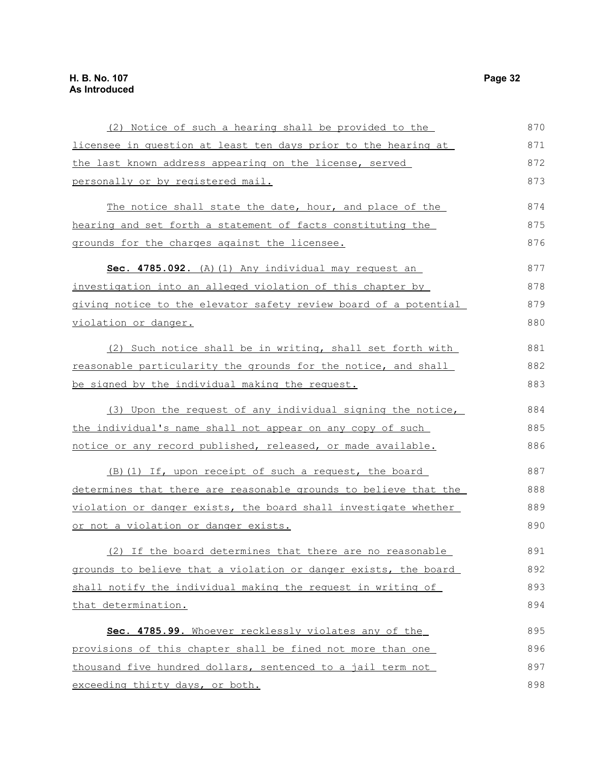| (2) Notice of such a hearing shall be provided to the               | 870 |
|---------------------------------------------------------------------|-----|
| licensee in question at least ten days prior to the hearing at      | 871 |
| the last known address appearing on the license, served             | 872 |
| personally or by registered mail.                                   | 873 |
| The notice shall state the date, hour, and place of the             | 874 |
| hearing and set forth a statement of facts constituting the         | 875 |
| grounds for the charges against the licensee.                       | 876 |
| Sec. 4785.092. (A) (1) Any individual may request an                | 877 |
| investigation into an alleged violation of this chapter by          | 878 |
| giving notice to the elevator safety review board of a potential    | 879 |
| violation or danger.                                                | 880 |
| (2) Such notice shall be in writing, shall set forth with           | 881 |
| reasonable particularity the grounds for the notice, and shall      | 882 |
| be signed by the individual making the request.                     | 883 |
| (3) Upon the request of any individual signing the notice,          | 884 |
| the individual's name shall not appear on any copy of such          | 885 |
| <u>notice or any record published, released, or made available.</u> | 886 |
| (B) (1) If, upon receipt of such a request, the board               | 887 |
| determines that there are reasonable grounds to believe that the    | 888 |
| violation or danger exists, the board shall investigate whether     | 889 |
| or not a violation or danger exists.                                | 890 |
| (2) If the board determines that there are no reasonable            | 891 |
| grounds to believe that a violation or danger exists, the board     | 892 |
| shall notify the individual making the request in writing of        | 893 |
| that determination.                                                 | 894 |
| Sec. 4785.99. Whoever recklessly violates any of the                | 895 |
| provisions of this chapter shall be fined not more than one         | 896 |
| thousand five hundred dollars, sentenced to a jail term not         | 897 |
| exceeding thirty days, or both.                                     | 898 |